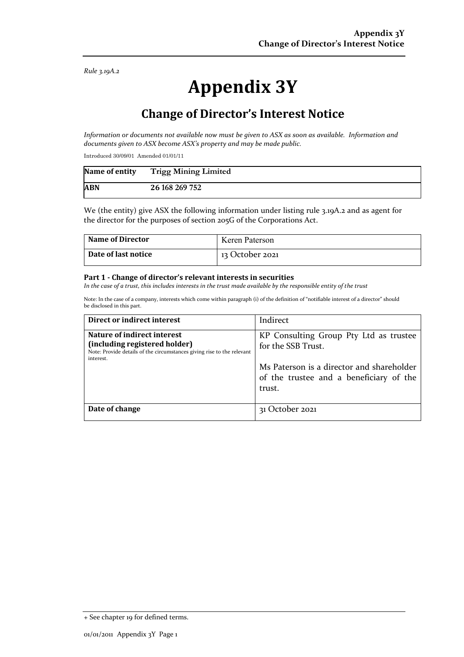*Rule 3.19A.2*

# **Appendix 3Y**

## **Change of Director's Interest Notice**

*Information or documents not available now must be given to ASX as soon as available. Information and documents given to ASX become ASX's property and may be made public.*

Introduced 30/09/01 Amended 01/01/11

| Name of entity | <b>Trigg Mining Limited</b> |
|----------------|-----------------------------|
| <b>ABN</b>     | 26 168 269 752              |

We (the entity) give ASX the following information under listing rule 3.19A.2 and as agent for the director for the purposes of section 205G of the Corporations Act.

| <b>Name of Director</b> | Keren Paterson  |
|-------------------------|-----------------|
| Date of last notice     | 13 October 2021 |

#### **Part 1 - Change of director's relevant interests in securities**

*In the case of a trust, this includes interests in the trust made available by the responsible entity of the trust*

Note: In the case of a company, interests which come within paragraph (i) of the definition of "notifiable interest of a director" should be disclosed in this part.

| Direct or indirect interest                                                                                                                         | Indirect                                                                                                                                                       |
|-----------------------------------------------------------------------------------------------------------------------------------------------------|----------------------------------------------------------------------------------------------------------------------------------------------------------------|
| Nature of indirect interest<br>(including registered holder)<br>Note: Provide details of the circumstances giving rise to the relevant<br>interest. | KP Consulting Group Pty Ltd as trustee<br>for the SSB Trust.<br>Ms Paterson is a director and shareholder<br>of the trustee and a beneficiary of the<br>trust. |
| Date of change                                                                                                                                      | 31 October 2021                                                                                                                                                |

<sup>+</sup> See chapter 19 for defined terms.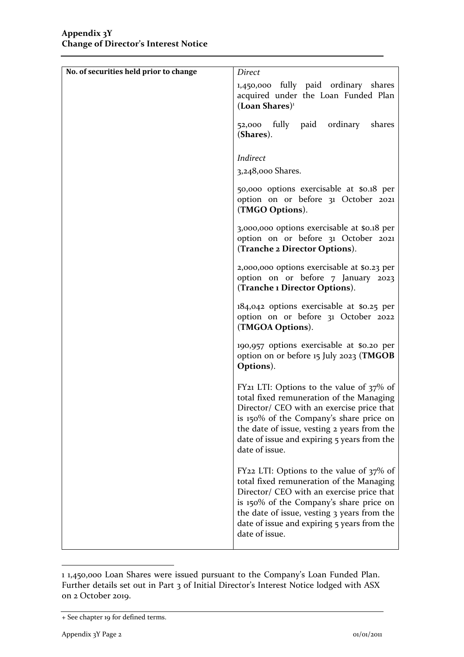| No. of securities held prior to change | <b>Direct</b>                                                                                                                                                                                                                                                                                               |
|----------------------------------------|-------------------------------------------------------------------------------------------------------------------------------------------------------------------------------------------------------------------------------------------------------------------------------------------------------------|
|                                        | 1,450,000 fully paid ordinary shares<br>acquired under the Loan Funded Plan<br>$($ Loan Shares $)$ <sup>1</sup>                                                                                                                                                                                             |
|                                        | fully paid ordinary<br>shares<br>52,000<br>(Shares).                                                                                                                                                                                                                                                        |
|                                        | Indirect                                                                                                                                                                                                                                                                                                    |
|                                        | 3,248,000 Shares.                                                                                                                                                                                                                                                                                           |
|                                        | 50,000 options exercisable at \$0.18 per<br>option on or before 31 October 2021<br>(TMGO Options).                                                                                                                                                                                                          |
|                                        | 3,000,000 options exercisable at \$0.18 per<br>option on or before 31 October 2021<br>(Tranche 2 Director Options).                                                                                                                                                                                         |
|                                        | 2,000,000 options exercisable at \$0.23 per<br>option on or before 7 January 2023<br>(Tranche 1 Director Options).                                                                                                                                                                                          |
|                                        | $184,042$ options exercisable at \$0.25 per<br>option on or before 31 October 2022<br>(TMGOA Options).                                                                                                                                                                                                      |
|                                        | 190,957 options exercisable at \$0.20 per<br>option on or before 15 July 2023 (TMGOB<br>Options).                                                                                                                                                                                                           |
|                                        | FY <sub>21</sub> LTI: Options to the value of $37\%$ of<br>total fixed remuneration of the Managing<br>Director/ CEO with an exercise price that<br>is 150% of the Company's share price on<br>the date of issue, vesting 2 years from the<br>date of issue and expiring 5 years from the<br>date of issue. |
|                                        | FY22 LTI: Options to the value of $37\%$ of<br>total fixed remuneration of the Managing<br>Director/ CEO with an exercise price that<br>is 150% of the Company's share price on<br>the date of issue, vesting 3 years from the<br>date of issue and expiring 5 years from the<br>date of issue.             |

<sup>1</sup> 1,450,000 Loan Shares were issued pursuant to the Company's Loan Funded Plan. Further details set out in Part 3 of Initial Director's Interest Notice lodged with ASX on 2 October 2019.

<sup>+</sup> See chapter 19 for defined terms.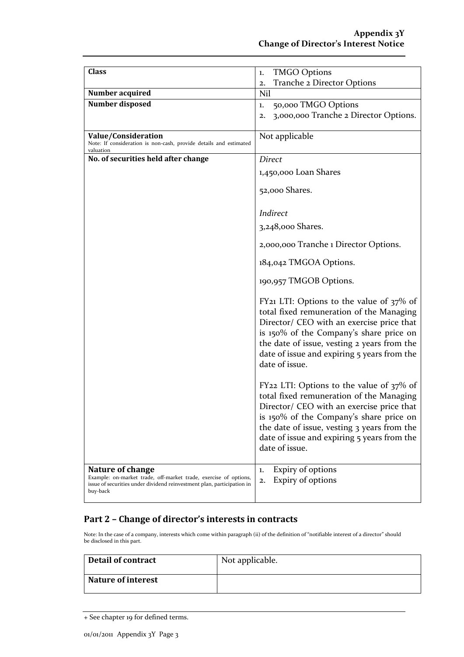| <b>Class</b>                                                                                                                                                                      | <b>TMGO Options</b><br>1.                                                                                                                                                                                                                                                                                   |
|-----------------------------------------------------------------------------------------------------------------------------------------------------------------------------------|-------------------------------------------------------------------------------------------------------------------------------------------------------------------------------------------------------------------------------------------------------------------------------------------------------------|
|                                                                                                                                                                                   | Tranche 2 Director Options<br>2.                                                                                                                                                                                                                                                                            |
| Number acquired                                                                                                                                                                   | Nil                                                                                                                                                                                                                                                                                                         |
| Number disposed                                                                                                                                                                   | 50,000 TMGO Options<br>1.                                                                                                                                                                                                                                                                                   |
|                                                                                                                                                                                   | 3,000,000 Tranche 2 Director Options.<br>2.                                                                                                                                                                                                                                                                 |
|                                                                                                                                                                                   |                                                                                                                                                                                                                                                                                                             |
| Value/Consideration                                                                                                                                                               | Not applicable                                                                                                                                                                                                                                                                                              |
| Note: If consideration is non-cash, provide details and estimated                                                                                                                 |                                                                                                                                                                                                                                                                                                             |
| valuation                                                                                                                                                                         |                                                                                                                                                                                                                                                                                                             |
| No. of securities held after change                                                                                                                                               | <b>Direct</b>                                                                                                                                                                                                                                                                                               |
|                                                                                                                                                                                   | 1,450,000 Loan Shares                                                                                                                                                                                                                                                                                       |
|                                                                                                                                                                                   |                                                                                                                                                                                                                                                                                                             |
|                                                                                                                                                                                   | 52,000 Shares.                                                                                                                                                                                                                                                                                              |
|                                                                                                                                                                                   |                                                                                                                                                                                                                                                                                                             |
|                                                                                                                                                                                   | Indirect                                                                                                                                                                                                                                                                                                    |
|                                                                                                                                                                                   | 3,248,000 Shares.                                                                                                                                                                                                                                                                                           |
|                                                                                                                                                                                   |                                                                                                                                                                                                                                                                                                             |
|                                                                                                                                                                                   | 2,000,000 Tranche 1 Director Options.                                                                                                                                                                                                                                                                       |
|                                                                                                                                                                                   | 184,042 TMGOA Options.                                                                                                                                                                                                                                                                                      |
|                                                                                                                                                                                   | 190,957 TMGOB Options.                                                                                                                                                                                                                                                                                      |
|                                                                                                                                                                                   | FY <sub>21</sub> LTI: Options to the value of $37\%$ of<br>total fixed remuneration of the Managing<br>Director/ CEO with an exercise price that<br>is 150% of the Company's share price on<br>the date of issue, vesting 2 years from the<br>date of issue and expiring 5 years from the<br>date of issue. |
|                                                                                                                                                                                   | FY22 LTI: Options to the value of $37\%$ of<br>total fixed remuneration of the Managing<br>Director/ CEO with an exercise price that<br>is 150% of the Company's share price on<br>the date of issue, vesting 3 years from the<br>date of issue and expiring 5 years from the<br>date of issue.             |
| <b>Nature of change</b><br>Example: on-market trade, off-market trade, exercise of options,<br>issue of securities under dividend reinvestment plan, participation in<br>buy-back | Expiry of options<br>1.<br>Expiry of options<br>2.                                                                                                                                                                                                                                                          |

#### **Part 2 – Change of director's interests in contracts**

Note: In the case of a company, interests which come within paragraph (ii) of the definition of "notifiable interest of a director" should be disclosed in this part.

| Detail of contract        | Not applicable. |
|---------------------------|-----------------|
| <b>Nature of interest</b> |                 |

+ See chapter 19 for defined terms.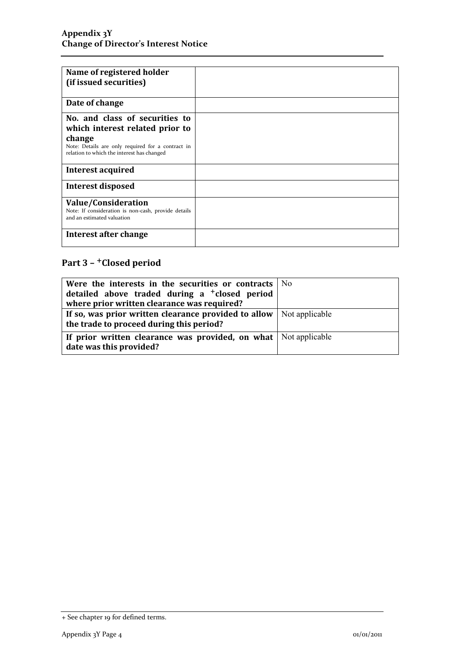| Name of registered holder<br>(if issued securities)                                                                                                                            |  |
|--------------------------------------------------------------------------------------------------------------------------------------------------------------------------------|--|
| Date of change                                                                                                                                                                 |  |
| No. and class of securities to<br>which interest related prior to<br>change<br>Note: Details are only required for a contract in<br>relation to which the interest has changed |  |
| Interest acquired                                                                                                                                                              |  |
| <b>Interest disposed</b>                                                                                                                                                       |  |
| Value/Consideration<br>Note: If consideration is non-cash, provide details<br>and an estimated valuation                                                                       |  |
| Interest after change                                                                                                                                                          |  |

## **Part 3 –** +**Closed period**

| Were the interests in the securities or contracts No                        |  |
|-----------------------------------------------------------------------------|--|
| detailed above traded during a <sup>+</sup> closed period                   |  |
| where prior written clearance was required?                                 |  |
| If so, was prior written clearance provided to allow $\vert$ Not applicable |  |
| the trade to proceed during this period?                                    |  |
| If prior written clearance was provided, on what   Not applicable           |  |
| date was this provided?                                                     |  |

<sup>+</sup> See chapter 19 for defined terms.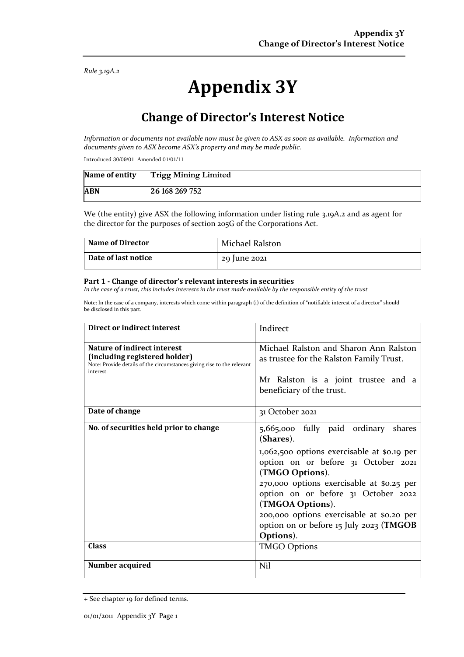*Rule 3.19A.2*

# **Appendix 3Y**

## **Change of Director's Interest Notice**

*Information or documents not available now must be given to ASX as soon as available. Information and documents given to ASX become ASX's property and may be made public.*

Introduced 30/09/01 Amended 01/01/11

| Name of entity | <b>Trigg Mining Limited</b> |
|----------------|-----------------------------|
| <b>ABN</b>     | 26 168 269 752              |

We (the entity) give ASX the following information under listing rule 3.19A.2 and as agent for the director for the purposes of section 205G of the Corporations Act.

| <b>Name of Director</b> | Michael Ralston |
|-------------------------|-----------------|
| Date of last notice     | 29 June 2021    |

#### **Part 1 - Change of director's relevant interests in securities**

*In the case of a trust, this includes interests in the trust made available by the responsible entity of the trust*

Note: In the case of a company, interests which come within paragraph (i) of the definition of "notifiable interest of a director" should be disclosed in this part.

| Direct or indirect interest                                                                                                                         | Indirect                                                                                                                                                                                                                                                                                                                                                                   |
|-----------------------------------------------------------------------------------------------------------------------------------------------------|----------------------------------------------------------------------------------------------------------------------------------------------------------------------------------------------------------------------------------------------------------------------------------------------------------------------------------------------------------------------------|
| Nature of indirect interest<br>(including registered holder)<br>Note: Provide details of the circumstances giving rise to the relevant<br>interest. | Michael Ralston and Sharon Ann Ralston<br>as trustee for the Ralston Family Trust.<br>Mr Ralston is a joint trustee and a<br>beneficiary of the trust.                                                                                                                                                                                                                     |
| Date of change                                                                                                                                      | 31 October 2021                                                                                                                                                                                                                                                                                                                                                            |
| No. of securities held prior to change                                                                                                              | 5,665,000 fully paid ordinary<br>shares<br>(Shares).<br>1,062,500 options exercisable at \$0.19 per<br>option on or before 31 October 2021<br>(TMGO Options).<br>270,000 options exercisable at \$0.25 per<br>option on or before 31 October 2022<br>(TMGOA Options).<br>200,000 options exercisable at \$0.20 per<br>option on or before 15 July 2023 (TMGOB<br>Options). |
| <b>Class</b>                                                                                                                                        | <b>TMGO Options</b>                                                                                                                                                                                                                                                                                                                                                        |
| Number acquired                                                                                                                                     | Nil                                                                                                                                                                                                                                                                                                                                                                        |

<sup>+</sup> See chapter 19 for defined terms.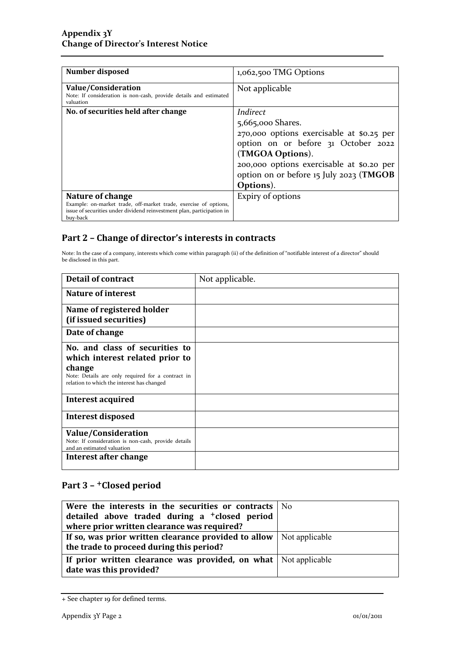| Number disposed                                                                                                                                                            | 1,062,500 TMG Options                                                                                                                                                                                                                      |
|----------------------------------------------------------------------------------------------------------------------------------------------------------------------------|--------------------------------------------------------------------------------------------------------------------------------------------------------------------------------------------------------------------------------------------|
| Value/Consideration<br>Note: If consideration is non-cash, provide details and estimated<br>valuation                                                                      | Not applicable                                                                                                                                                                                                                             |
| No. of securities held after change                                                                                                                                        | Indirect<br>5,665,000 Shares.<br>270,000 options exercisable at \$0.25 per<br>option on or before 31 October 2022<br>(TMGOA Options).<br>200,000 options exercisable at \$0.20 per<br>option on or before 15 July 2023 (TMGOB<br>Options). |
| Nature of change<br>Example: on-market trade, off-market trade, exercise of options,<br>issue of securities under dividend reinvestment plan, participation in<br>buy-back | Expiry of options                                                                                                                                                                                                                          |

### **Part 2 – Change of director's interests in contracts**

Note: In the case of a company, interests which come within paragraph (ii) of the definition of "notifiable interest of a director" should be disclosed in this part.

| <b>Detail of contract</b>                                                                       | Not applicable. |
|-------------------------------------------------------------------------------------------------|-----------------|
| Nature of interest                                                                              |                 |
| Name of registered holder                                                                       |                 |
| (if issued securities)                                                                          |                 |
| Date of change                                                                                  |                 |
| No. and class of securities to                                                                  |                 |
| which interest related prior to                                                                 |                 |
| change                                                                                          |                 |
| Note: Details are only required for a contract in<br>relation to which the interest has changed |                 |
| Interest acquired                                                                               |                 |
| Interest disposed                                                                               |                 |
| Value/Consideration                                                                             |                 |
| Note: If consideration is non-cash, provide details<br>and an estimated valuation               |                 |
| Interest after change                                                                           |                 |

### **Part 3 –** +**Closed period**

| Were the interests in the securities or contracts $\vert$ No                                 |  |
|----------------------------------------------------------------------------------------------|--|
| detailed above traded during a <sup>+</sup> closed period                                    |  |
| where prior written clearance was required?                                                  |  |
| If so, was prior written clearance provided to allow $\vert$ Not applicable                  |  |
| the trade to proceed during this period?                                                     |  |
| If prior written clearance was provided, on what   Not applicable<br>date was this provided? |  |

<sup>+</sup> See chapter 19 for defined terms.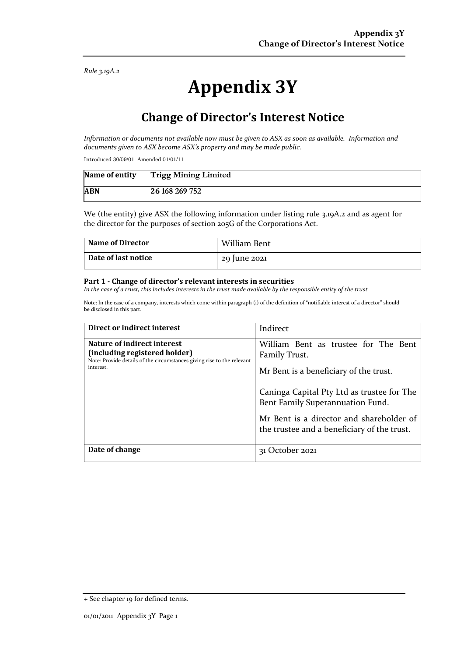*Rule 3.19A.2*

# **Appendix 3Y**

## **Change of Director's Interest Notice**

*Information or documents not available now must be given to ASX as soon as available. Information and documents given to ASX become ASX's property and may be made public.*

Introduced 30/09/01 Amended 01/01/11

| Name of entity | <b>Trigg Mining Limited</b> |
|----------------|-----------------------------|
| <b>ABN</b>     | 26 168 269 752              |

We (the entity) give ASX the following information under listing rule 3.19A.2 and as agent for the director for the purposes of section 205G of the Corporations Act.

| <b>Name of Director</b> | William Bent |
|-------------------------|--------------|
| Date of last notice     | 29 June 2021 |

#### **Part 1 - Change of director's relevant interests in securities**

*In the case of a trust, this includes interests in the trust made available by the responsible entity of the trust*

Note: In the case of a company, interests which come within paragraph (i) of the definition of "notifiable interest of a director" should be disclosed in this part.

| Direct or indirect interest                                                                                                                         | Indirect                                                                                                                                                                                                                                                                     |
|-----------------------------------------------------------------------------------------------------------------------------------------------------|------------------------------------------------------------------------------------------------------------------------------------------------------------------------------------------------------------------------------------------------------------------------------|
| Nature of indirect interest<br>(including registered holder)<br>Note: Provide details of the circumstances giving rise to the relevant<br>interest. | William Bent as trustee for The Bent<br>Family Trust.<br>Mr Bent is a beneficiary of the trust.<br>Caninga Capital Pty Ltd as trustee for The<br>Bent Family Superannuation Fund.<br>Mr Bent is a director and shareholder of<br>the trustee and a beneficiary of the trust. |
| Date of change                                                                                                                                      | ctober 2021 <sup>.</sup><br>31 U                                                                                                                                                                                                                                             |

<sup>+</sup> See chapter 19 for defined terms.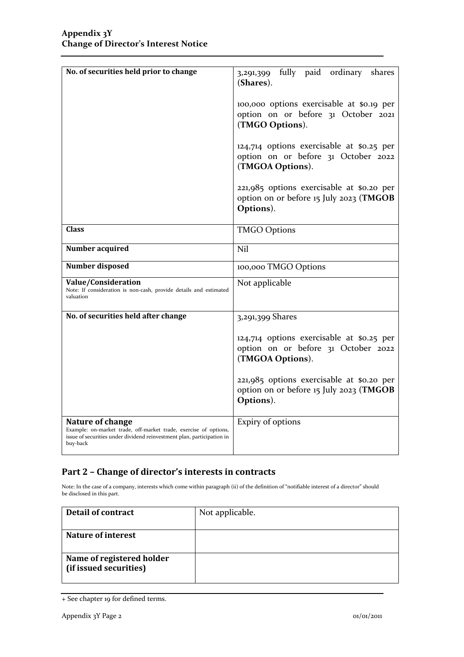| No. of securities held prior to change                                                                                                                                     | 3,291,399 fully paid ordinary<br>shares<br>(Shares).<br>100,000 options exercisable at \$0.19 per<br>option on or before 31 October 2021<br>(TMGO Options).<br>124,714 options exercisable at \$0.25 per<br>option on or before 31 October 2022<br>(TMGOA Options).<br>221,985 options exercisable at \$0.20 per<br>option on or before 15 July 2023 (TMGOB<br>Options). |
|----------------------------------------------------------------------------------------------------------------------------------------------------------------------------|--------------------------------------------------------------------------------------------------------------------------------------------------------------------------------------------------------------------------------------------------------------------------------------------------------------------------------------------------------------------------|
| <b>Class</b>                                                                                                                                                               | <b>TMGO Options</b>                                                                                                                                                                                                                                                                                                                                                      |
| Number acquired                                                                                                                                                            | Nil                                                                                                                                                                                                                                                                                                                                                                      |
| Number disposed                                                                                                                                                            | 100,000 TMGO Options                                                                                                                                                                                                                                                                                                                                                     |
| <b>Value/Consideration</b><br>Note: If consideration is non-cash, provide details and estimated<br>valuation                                                               | Not applicable                                                                                                                                                                                                                                                                                                                                                           |
| No. of securities held after change                                                                                                                                        | 3,291,399 Shares                                                                                                                                                                                                                                                                                                                                                         |
|                                                                                                                                                                            | 124,714 options exercisable at \$0.25 per<br>option on or before 31 October 2022<br>(TMGOA Options).                                                                                                                                                                                                                                                                     |
|                                                                                                                                                                            | 221,985 options exercisable at \$0.20 per<br>option on or before 15 July 2023 (TMGOB<br>Options).                                                                                                                                                                                                                                                                        |
| Nature of change<br>Example: on-market trade, off-market trade, exercise of options,<br>issue of securities under dividend reinvestment plan, participation in<br>buy-back | Expiry of options                                                                                                                                                                                                                                                                                                                                                        |

### **Part 2 – Change of director's interests in contracts**

Note: In the case of a company, interests which come within paragraph (ii) of the definition of "notifiable interest of a director" should be disclosed in this part.

| <b>Detail of contract</b> | Not applicable. |
|---------------------------|-----------------|
|                           |                 |
| <b>Nature of interest</b> |                 |
|                           |                 |
| Name of registered holder |                 |
| (if issued securities)    |                 |
|                           |                 |

<sup>+</sup> See chapter 19 for defined terms.